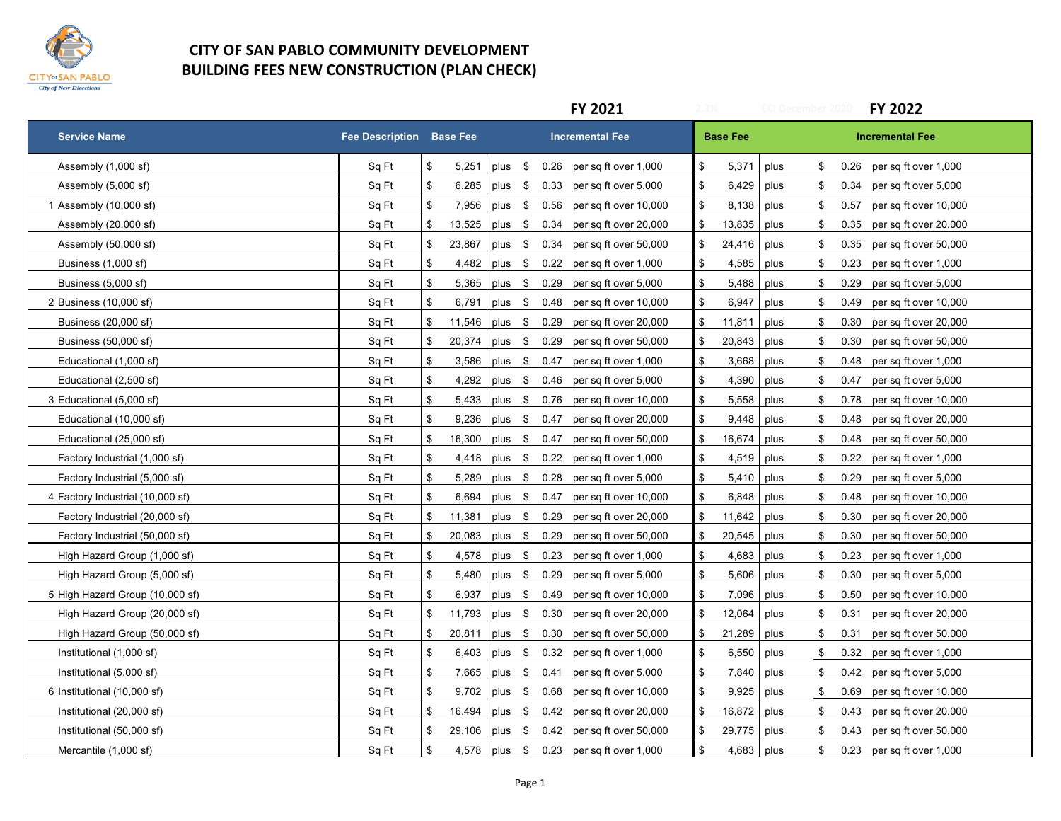

## **CITY OF SAN PABLO COMMUNITY DEVELOPMENT BUILDING FEES NEW CONSTRUCTION (PLAN CHECK)**

|                                  |                                 |              | FY 2021                                           | <b>ECI December 2020</b> | FY 2022                       |
|----------------------------------|---------------------------------|--------------|---------------------------------------------------|--------------------------|-------------------------------|
| <b>Service Name</b>              | <b>Fee Description Base Fee</b> |              | <b>Incremental Fee</b>                            | <b>Base Fee</b>          | <b>Incremental Fee</b>        |
| Assembly (1,000 sf)              | Sq Ft                           | \$<br>5,251  | \$<br>plus $$0.26$ per sq ft over 1,000           | 5,371<br>plus<br>\$      | $0.26$ per sq ft over 1,000   |
| Assembly (5,000 sf)              | Sq Ft                           | \$<br>6,285  | plus \$<br>0.33<br>\$<br>per sq ft over 5,000     | plus<br>6,429<br>\$      | 0.34<br>per sq ft over 5,000  |
| 1 Assembly (10,000 sf)           | Sq Ft                           | \$<br>7,956  | plus \$<br>0.56<br>per sq ft over 10,000<br>\$    | 8,138 plus<br>\$         | 0.57<br>per sq ft over 10,000 |
| Assembly (20,000 sf)             | Sq Ft                           | \$<br>13,525 | plus \$<br>\$<br>0.34<br>per sq ft over 20,000    | 13,835<br>plus<br>\$     | 0.35<br>per sq ft over 20,000 |
| Assembly (50,000 sf)             | Sq Ft                           | \$<br>23,867 | \$<br>plus<br>\$<br>0.34<br>per sq ft over 50,000 | 24,416<br>plus<br>\$     | per sq ft over 50,000<br>0.35 |
| Business (1,000 sf)              | Sq Ft                           | \$<br>4,482  | \$<br>\$<br>0.22<br>plus<br>per sq ft over 1,000  | 4,585<br>plus<br>\$      | 0.23<br>per sq ft over 1,000  |
| Business (5,000 sf)              | Sq Ft                           | \$<br>5,365  | \$<br>plus \$<br>0.29 per sq ft over 5,000        | plus<br>5,488<br>\$      | 0.29<br>per sq ft over 5,000  |
| 2 Business (10,000 sf)           | Sq Ft                           | \$<br>6,791  | plus \$<br>\$<br>0.48<br>per sq ft over 10,000    | 6,947<br>plus<br>\$      | 0.49<br>per sq ft over 10,000 |
| Business (20,000 sf)             | Sq Ft                           | \$<br>11,546 | plus \$<br>0.29<br>\$<br>per sq ft over 20,000    | 11,811<br>plus<br>\$     | per sq ft over 20,000<br>0.30 |
| Business (50,000 sf)             | Sq Ft                           | \$<br>20,374 | plus \$<br>0.29<br>per sq ft over 50,000<br>\$    | 20,843<br>plus<br>\$     | 0.30<br>per sq ft over 50,000 |
| Educational (1,000 sf)           | Sq Ft                           | \$<br>3,586  | \$<br>plus \$<br>0.47<br>per sq ft over 1,000     | 3,668<br>plus<br>\$      | per sq ft over 1,000<br>0.48  |
| Educational (2,500 sf)           | Sq Ft                           | \$<br>4,292  | plus \$<br>\$<br>0.46<br>per sq ft over 5,000     | 4,390<br>plus<br>\$      | 0.47<br>per sq ft over 5,000  |
| 3 Educational (5,000 sf)         | Sq Ft                           | \$<br>5,433  | plus \$<br>\$<br>0.76<br>per sq ft over 10,000    | 5,558<br>plus<br>\$      | 0.78<br>per sq ft over 10,000 |
| Educational (10,000 sf)          | Sq Ft                           | \$<br>9,236  | \$<br>plus \$<br>0.47<br>per sq ft over 20,000    | 9,448<br>plus<br>\$      | per sq ft over 20,000<br>0.48 |
| Educational (25,000 sf)          | Sq Ft                           | \$<br>16,300 | plus \$ 0.47<br>per sq ft over 50,000<br>\$       | 16,674<br>plus<br>\$     | per sq ft over 50,000<br>0.48 |
| Factory Industrial (1,000 sf)    | Sq Ft                           | \$<br>4,418  | \$<br>plus \$<br>0.22<br>per sq ft over 1,000     | 4,519<br>plus<br>\$      | 0.22 per sq ft over 1,000     |
| Factory Industrial (5,000 sf)    | Sq Ft                           | \$<br>5,289  | plus \$ 0.28<br>\$<br>per sq ft over 5,000        | 5,410 plus<br>\$         | 0.29<br>per sq ft over 5,000  |
| 4 Factory Industrial (10,000 sf) | Sq Ft                           | \$<br>6,694  | plus \$<br>0.47<br>\$<br>per sq ft over 10,000    | 6,848<br>plus<br>\$      | 0.48<br>per sq ft over 10,000 |
| Factory Industrial (20,000 sf)   | Sq Ft                           | \$<br>11,381 | plus \$<br>\$<br>0.29<br>per sq ft over 20,000    | 11,642<br>plus<br>\$     | 0.30<br>per sq ft over 20,000 |
| Factory Industrial (50,000 sf)   | Sq Ft                           | \$<br>20,083 | \$<br>plus \$<br>0.29<br>per sq ft over 50,000    | 20,545<br>plus<br>\$     | 0.30<br>per sq ft over 50,000 |
| High Hazard Group (1,000 sf)     | Sq Ft                           | \$<br>4,578  | \$<br>plus \$<br>0.23<br>per sq ft over 1,000     | 4,683<br>plus<br>\$      | 0.23<br>per sq ft over 1,000  |
| High Hazard Group (5,000 sf)     | Sq Ft                           | \$<br>5,480  | plus \$ 0.29<br>\$<br>per sq ft over 5,000        | 5,606<br>plus<br>\$      | 0.30<br>per sq ft over 5,000  |
| 5 High Hazard Group (10,000 sf)  | Sq Ft                           | \$<br>6,937  | plus \$<br>0.49<br>\$<br>per sq ft over 10,000    | 7,096<br>plus<br>\$      | 0.50<br>per sq ft over 10,000 |
| High Hazard Group (20,000 sf)    | Sq Ft                           | \$<br>11,793 | plus \$<br>0.30<br>\$<br>per sq ft over 20,000    | 12,064<br>plus<br>\$     | per sq ft over 20,000<br>0.31 |
| High Hazard Group (50,000 sf)    | Sq Ft                           | \$<br>20,811 | plus \$<br>\$<br>0.30<br>per sq ft over 50,000    | 21,289<br>plus<br>\$     | per sq ft over 50,000<br>0.31 |
| Institutional (1,000 sf)         | Sq Ft                           | \$<br>6,403  | \$<br>plus \$<br>0.32<br>per sq ft over 1,000     | plus<br>6,550<br>\$      | per sq ft over 1,000<br>0.32  |
| Institutional (5,000 sf)         | Sq Ft                           | \$<br>7,665  | \$<br>plus \$ 0.41<br>per sq ft over 5,000        | 7,840 plus<br>\$         | 0.42 per sq ft over 5,000     |
| 6 Institutional (10,000 sf)      | Sq Ft                           | \$<br>9,702  | \$<br>plus \$<br>0.68<br>per sq ft over 10,000    | 9,925<br>plus<br>\$      | 0.69<br>per sq ft over 10,000 |
| Institutional (20,000 sf)        | Sq Ft                           | \$<br>16,494 | plus \$<br>\$<br>0.42<br>per sq ft over 20,000    | 16,872<br>plus<br>\$     | per sq ft over 20,000<br>0.43 |
| Institutional (50,000 sf)        | Sq Ft                           | \$<br>29,106 | \$<br>plus<br>\$<br>0.42<br>per sq ft over 50,000 | 29,775<br>plus<br>\$     | per sq ft over 50,000<br>0.43 |
| Mercantile (1,000 sf)            | Sq Ft                           | \$           | \$<br>4,578 plus \$<br>0.23 per sq ft over 1,000  | 4,683 plus<br>\$         | 0.23 per sq ft over 1,000     |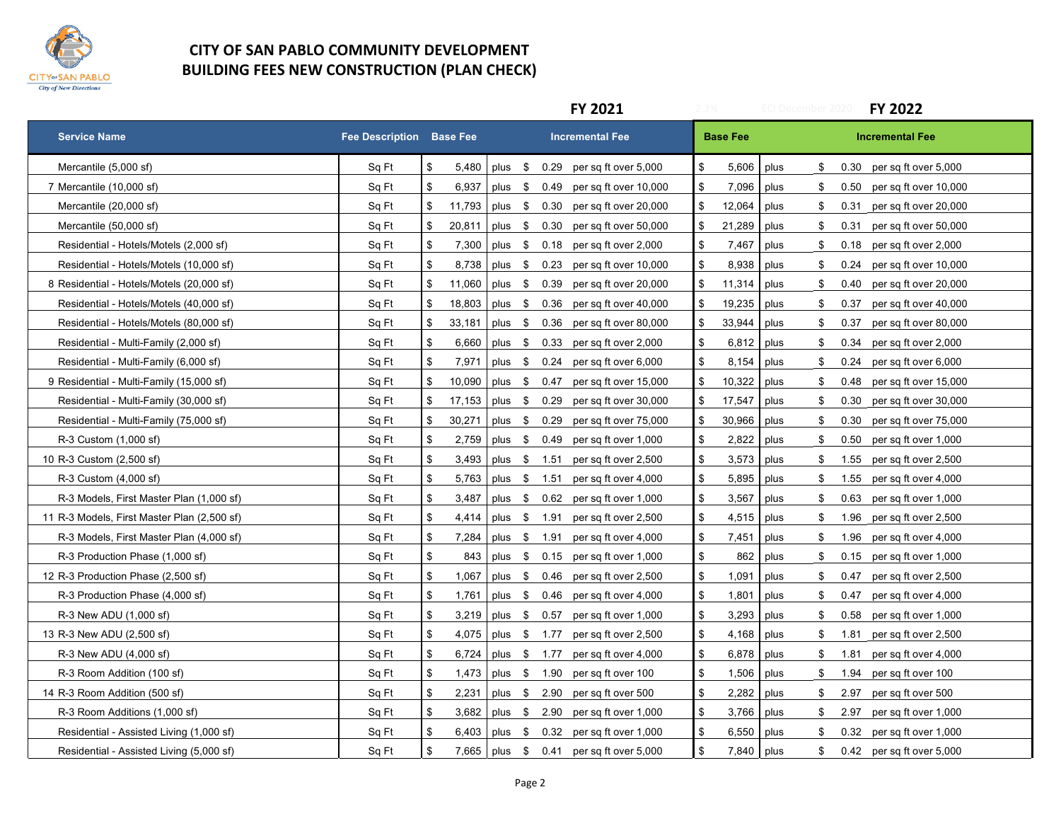

## **CITY OF SAN PABLO COMMUNITY DEVELOPMENT BUILDING FEES NEW CONSTRUCTION (PLAN CHECK)**

|                                             |                                 |              | FY 2021                                                    | 2.3%<br><b>ECI December 2020</b> | <b>FY 2022</b>                      |
|---------------------------------------------|---------------------------------|--------------|------------------------------------------------------------|----------------------------------|-------------------------------------|
| <b>Service Name</b>                         | <b>Fee Description Base Fee</b> |              | <b>Incremental Fee</b>                                     | <b>Base Fee</b>                  | <b>Incremental Fee</b>              |
| Mercantile (5,000 sf)                       | Sq Ft                           | \$<br>5,480  | plus \$<br>0.29 per sq ft over 5,000<br>\$                 | 5,606<br>plus                    | \$<br>0.30<br>per sq ft over 5,000  |
| 7 Mercantile (10,000 sf)                    | Sq Ft                           | \$<br>6,937  | plus \$<br>0.49<br>per sq ft over 10,000                   | \$<br>7,096<br>plus              | \$<br>0.50<br>per sq ft over 10,000 |
| Mercantile (20,000 sf)                      | Sq Ft                           | 11,793<br>\$ | plus \$<br>0.30<br>per sq ft over 20,000                   | 12,064<br>\$<br>plus             | \$<br>0.31<br>per sq ft over 20,000 |
| Mercantile (50,000 sf)                      | Sq Ft                           | \$<br>20,811 | plus<br>\$<br>0.30<br>per sq ft over 50,000<br>\$          | 21,289<br>plus                   | \$<br>0.31<br>per sq ft over 50,000 |
| Residential - Hotels/Motels (2,000 sf)      | Sq Ft                           | \$<br>7,300  | plus \$<br>\$<br>0.18<br>per sq ft over 2,000              | plus<br>7,467                    | \$<br>per sq ft over 2,000<br>0.18  |
| Residential - Hotels/Motels (10,000 sf)     | Sq Ft                           | \$<br>8,738  | \$<br>plus \$<br>0.23<br>per sq ft over 10,000             | 8,938 plus                       | \$<br>per sq ft over 10,000<br>0.24 |
| 8 Residential - Hotels/Motels (20,000 sf)   | Sq Ft                           | \$<br>11,060 | plus \$<br>0.39<br>\$<br>per sq ft over 20,000             | 11,314<br>plus                   | \$<br>0.40<br>per sq ft over 20,000 |
| Residential - Hotels/Motels (40,000 sf)     | Sq Ft                           | \$<br>18,803 | plus \$<br>0.36<br>\$<br>per sq ft over 40,000             | 19,235<br>plus                   | \$<br>per sq ft over 40,000<br>0.37 |
| Residential - Hotels/Motels (80,000 sf)     | Sq Ft                           | \$<br>33,181 | \$<br>plus \$<br>0.36<br>per sq ft over 80,000             | 33,944<br>plus                   | \$<br>0.37<br>per sq ft over 80,000 |
| Residential - Multi-Family (2,000 sf)       | Sq Ft                           | \$<br>6,660  | plus \$ 0.33<br>per sq ft over 2,000<br>\$                 | $6,812$ plus                     | \$<br>per sq ft over 2,000<br>0.34  |
| Residential - Multi-Family (6,000 sf)       | Sq Ft                           | \$<br>7,971  | \$<br>\$<br>plus<br>0.24<br>per sq ft over 6,000           | 8,154<br>plus                    | \$<br>0.24<br>per sq ft over 6,000  |
| 9 Residential - Multi-Family (15,000 sf)    | Sq Ft                           | \$<br>10,090 | plus \$<br>\$<br>0.47<br>per sq ft over 15,000             | 10,322<br>plus                   | \$<br>0.48<br>per sq ft over 15,000 |
| Residential - Multi-Family (30,000 sf)      | Sq Ft                           | 17,153<br>\$ | plus \$<br>0.29<br>per sq ft over 30,000                   | 17,547<br>\$<br>plus             | \$<br>0.30<br>per sq ft over 30,000 |
| Residential - Multi-Family (75,000 sf)      | Sq Ft                           | \$<br>30,271 | plus \$<br>0.29<br>per sq ft over 75,000<br>\$             | 30,966<br>plus                   | \$<br>per sq ft over 75,000<br>0.30 |
| R-3 Custom (1,000 sf)                       | Sq Ft                           | \$<br>2,759  | \$<br>plus \$ 0.49<br>per sq ft over 1,000                 | $2,822$ plus                     | \$<br>per sq ft over 1,000<br>0.50  |
| 10 R-3 Custom (2,500 sf)                    | Sq Ft                           | \$<br>3,493  | \$<br>plus \$ 1.51<br>per sq ft over 2,500                 | $3,573$ plus                     | \$<br>1.55 per sq ft over 2,500     |
| R-3 Custom (4,000 sf)                       | Sq Ft                           | \$<br>5,763  | \$<br>plus $$1.51$ per sq ft over 4,000                    | 5,895 plus                       | \$<br>1.55<br>per sq ft over 4,000  |
| R-3 Models, First Master Plan (1,000 sf)    | Sq Ft                           | \$<br>3,487  | plus \$<br>\$<br>0.62<br>per sq ft over 1,000              | 3,567<br>plus                    | \$<br>0.63<br>per sq ft over 1,000  |
| 11 R-3 Models, First Master Plan (2,500 sf) | Sq Ft                           | \$<br>4,414  | \$<br>plus \$ 1.91<br>per sq ft over 2,500                 | $4,515$ plus                     | \$<br>1.96<br>per sq ft over 2,500  |
| R-3 Models, First Master Plan (4,000 sf)    | Sq Ft                           | \$<br>7,284  | plus \$ 1.91<br>per sq ft over 4,000<br>\$                 | plus<br>7,451                    | per sq ft over 4,000<br>\$<br>1.96  |
| R-3 Production Phase (1,000 sf)             | Sq Ft                           | \$<br>843    | $\,$<br>plus \$<br>0.15<br>per sq ft over 1,000            | plus<br>862                      | \$<br>$0.15$ per sq ft over 1,000   |
| 12 R-3 Production Phase (2,500 sf)          | Sq Ft                           | \$<br>1,067  | plus \$<br>0.46<br>\$<br>per sq ft over 2,500              | 1,091<br>plus                    | \$<br>0.47<br>per sq ft over 2,500  |
| R-3 Production Phase (4,000 sf)             | Sq Ft                           | \$<br>1,761  | plus \$<br>\$<br>0.46<br>per sq ft over 4,000              | 1,801<br>plus                    | \$<br>0.47<br>per sq ft over 4,000  |
| R-3 New ADU (1,000 sf)                      | Sq Ft                           | \$<br>3,219  | \$<br>plus \$ 0.57<br>per sq ft over 1,000                 | plus<br>3,293                    | \$<br>0.58<br>per sq ft over 1,000  |
| 13 R-3 New ADU (2,500 sf)                   | Sq Ft                           | \$<br>4,075  | \$<br>plus \$ 1.77<br>per sq ft over 2,500                 | 4,168<br>plus                    | \$<br>per sq ft over 2,500<br>1.81  |
| R-3 New ADU (4,000 sf)                      | Sq Ft                           | \$<br>6,724  | \$<br>\$ 1.77<br>per sq ft over 4,000<br>plus              | 6,878<br>plus                    | \$<br>1.81<br>per sq ft over 4,000  |
| R-3 Room Addition (100 sf)                  | Sq Ft                           | \$<br>1,473  | \$<br>plus \$ 1.90<br>per sq ft over 100                   | 1,506<br>plus                    | \$<br>1.94<br>per sq ft over 100    |
| 14 R-3 Room Addition (500 sf)               | Sq Ft                           | \$<br>2,231  | plus \$ 2.90<br>\$<br>per sq ft over 500                   | 2,282<br>plus                    | \$<br>2.97<br>per sq ft over 500    |
| R-3 Room Additions (1,000 sf)               | Sq Ft                           | \$<br>3,682  | $\,$<br>plus \$ 2.90<br>per sq ft over 1,000               | 3,766 plus                       | \$<br>2.97<br>per sq ft over 1,000  |
| Residential - Assisted Living (1,000 sf)    | Sq Ft                           | \$<br>6,403  | \$<br>plus \$ 0.32 per sq ft over 1,000                    | 6,550 plus                       | \$<br>0.32<br>per sq ft over 1,000  |
| Residential - Assisted Living (5,000 sf)    | Sq Ft                           | \$           | $\mathfrak s$<br>7,665   plus \$ 0.41 per sq ft over 5,000 | 7,840 plus                       | \$<br>0.42 per sq ft over 5,000     |